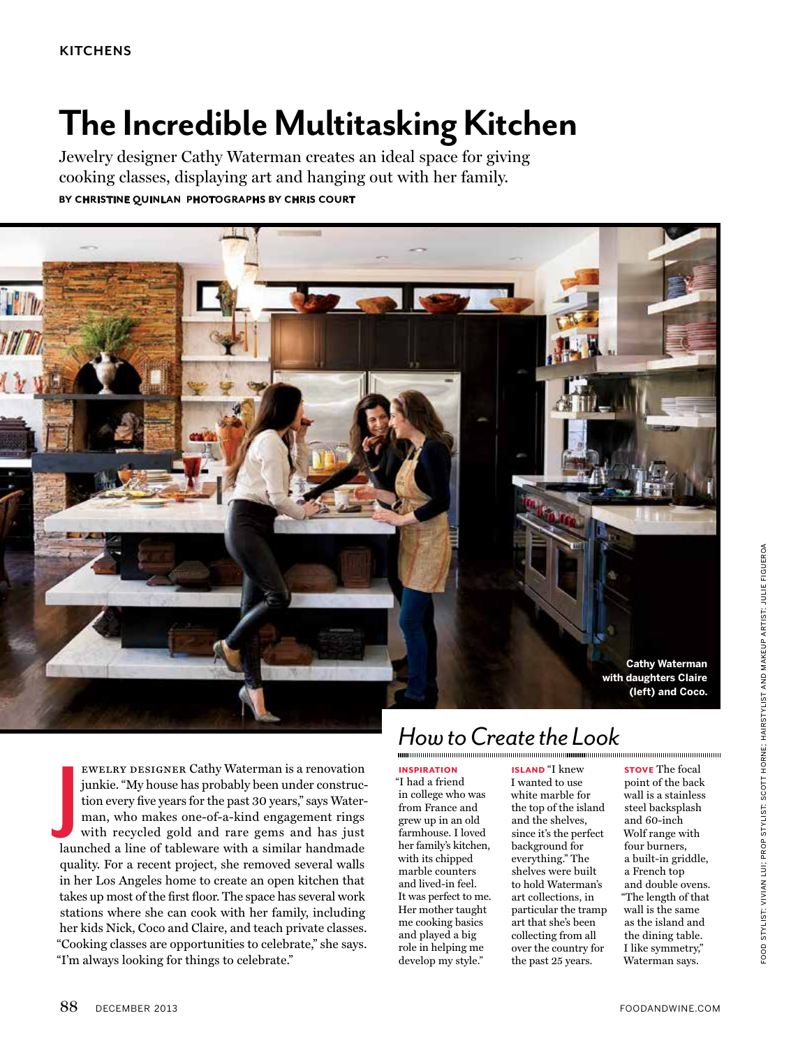# **The Incredible Multitasking Kitchen**

Jewelry designer Cathy Waterman creates an ideal space for giving cooking classes, displaying art and hanging out with her family. **by Christine Quinlan photographs by Chris Court** 



ewelry designer Cathy Waterman is a renovation junkie. "My house has probably been under construction every five years for the past 30 years," says Waterman, who makes one-of-a-kind engagement rings with recycled gold and rare gems and has just launched a line of tableware with a similar handmade quality. For a recent project, she removed several walls in her Los Angeles home to create an open kitchen that takes up most of the first floor. The space has several work stations where she can cook with her family, including her kids Nick, Coco and Claire, and teach private classes. "Cooking classes are opportunities to celebrate," she says. "I'm always looking for things to celebrate." **J**

## *How to Create the Look*

inspiration

"I had a friend in college who was from France and grew up in an old farmhouse. I loved her family's kitchen, with its chipped marble counters and lived-in feel. It was perfect to me. Her mother taught me cooking basics and played a big role in helping me develop my style."

island "I knew I wanted to use white marble for the top of the island and the shelves, since it's the perfect background for everything." The shelves were built to hold Waterman's art collections, in particular the tramp art that she's been collecting from all over the country for the past 25 years.

**STOVE** The focal point of the back wall is a stainless steel backsplash and 60-inch Wolf range with four burners, a built-in griddle, a French top and double ovens. "The length of that wall is the same as the island and the dining table. I like symmetry," Waterman says.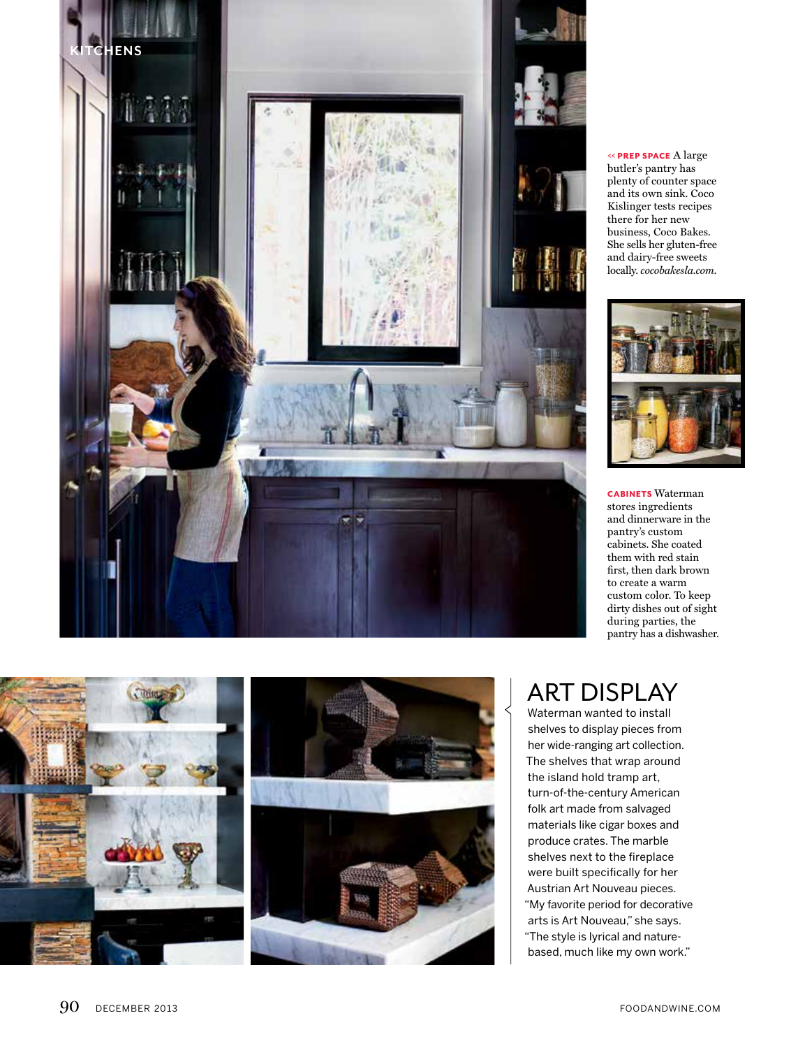

 $\lessdot$  PREP SPACE A large butler's pantry has plenty of counter space and its own sink. Coco Kislinger tests recipes there for her new business, Coco Bakes. She sells her gluten-free and dairy-free sweets locally. *cocobakesla.com.*



**CABINETS** Waterman stores ingredients and dinnerware in the pantry's custom cabinets. She coated them with red stain first, then dark brown to create a warm custom color. To keep dirty dishes out of sight during parties, the pantry has a dishwasher.



### **ART DISPLAY**

Waterman wanted to install shelves to display pieces from her wide-ranging art collection. The shelves that wrap around the island hold tramp art, turn-of-the-century American folk art made from salvaged materials like cigar boxes and produce crates. The marble shelves next to the fireplace were built specifically for her Austrian Art Nouveau pieces. "My favorite period for decorative arts is Art Nouveau," she says. "The style is lyrical and naturebased, much like my own work."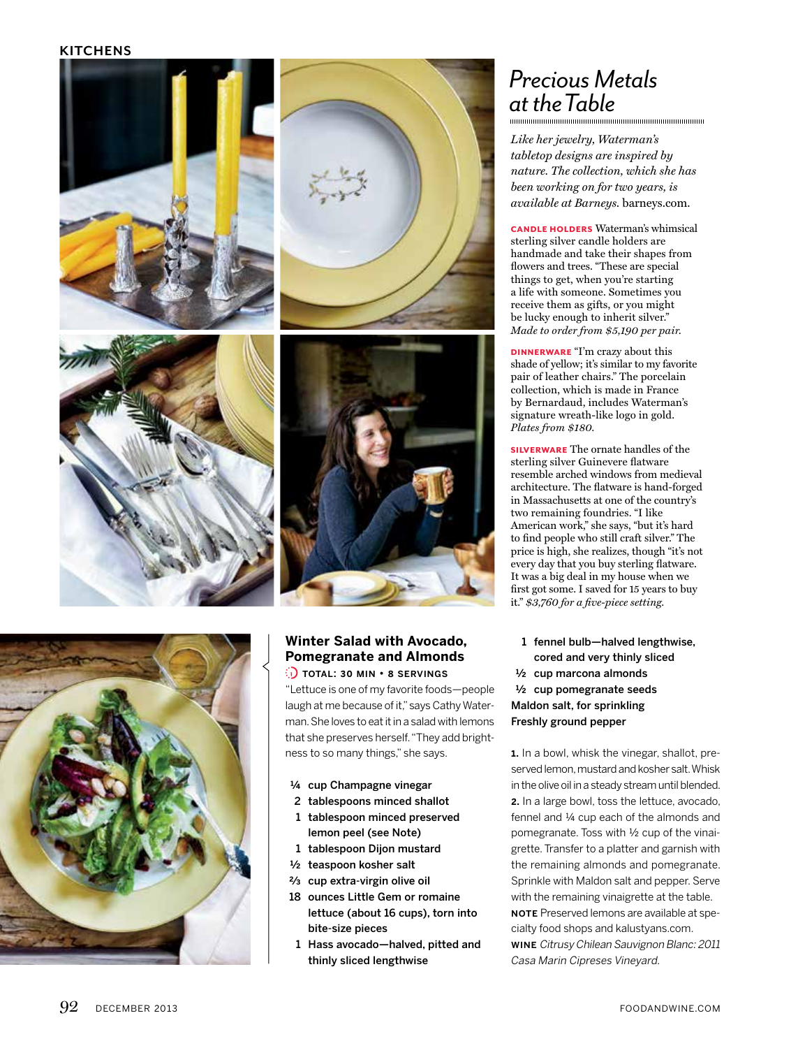#### **kitchens**





#### **Winter Salad with Avocado, Pomegranate and Almonds**

 $\odot$  total: 30 min  $\cdot$  8 servings "Lettuce is one of my favorite foods—people laugh at me because of it," says Cathy Waterman. She loves to eat it in a salad with lemons that she preserves herself. "They add brightness to so many things," she says.

- ¼ cup Champagne vinegar
- 2 tablespoons minced shallot
- 1 tablespoon minced preserved lemon peel (see Note)
- 1 tablespoon Dijon mustard
- ½ teaspoon kosher salt
- $2/3$  cup extra-virgin olive oil
- 18 ounces Little Gem or romaine lettuce (about 16 cups), torn into bite-size pieces
- 1 Hass avocado—halved, pitted and thinly sliced lengthwise

## *Precious Metals at the Table*

*Like her jewelry, Waterman's tabletop designs are inspired by nature. The collection, which she has been working on for two years, is available at Barneys.* barneys.com.

candle holders Waterman's whimsical sterling silver candle holders are handmade and take their shapes from flowers and trees. "These are special things to get, when you're starting a life with someone. Sometimes you receive them as gifts, or you might be lucky enough to inherit silver." *Made to order from \$5,190 per pair.*

dinnerware "I'm crazy about this shade of yellow; it's similar to my favorite pair of leather chairs." The porcelain collection, which is made in France by Bernardaud, includes Waterman's signature wreath-like logo in gold. *Plates from \$180.*

silverware The ornate handles of the sterling silver Guinevere flatware resemble arched windows from medieval architecture. The flatware is hand-forged in Massachusetts at one of the country's two remaining foundries. "I like American work," she says, "but it's hard to find people who still craft silver." The price is high, she realizes, though "it's not every day that you buy sterling flatware. It was a big deal in my house when we first got some. I saved for 15 years to buy it." *\$3,760 for a five-piece setting.*

1 fennel bulb—halved lengthwise, cored and very thinly sliced ½ cup marcona almonds ½ cup pomegranate seeds Maldon salt, for sprinkling Freshly ground pepper

1. In a bowl, whisk the vinegar, shallot, preserved lemon, mustard and kosher salt. Whisk in the olive oil in a steady stream until blended. 2. In a large bowl, toss the lettuce, avocado, fennel and ¼ cup each of the almonds and pomegranate. Toss with ½ cup of the vinaigrette. Transfer to a platter and garnish with the remaining almonds and pomegranate. Sprinkle with Maldon salt and pepper. Serve with the remaining vinaigrette at the table. NOTE Preserved lemons are available at spe-

cialty food shops and kalustyans.com. wine Citrusy Chilean Sauvignon Blanc: 2011

Casa Marin Cipreses Vineyard.